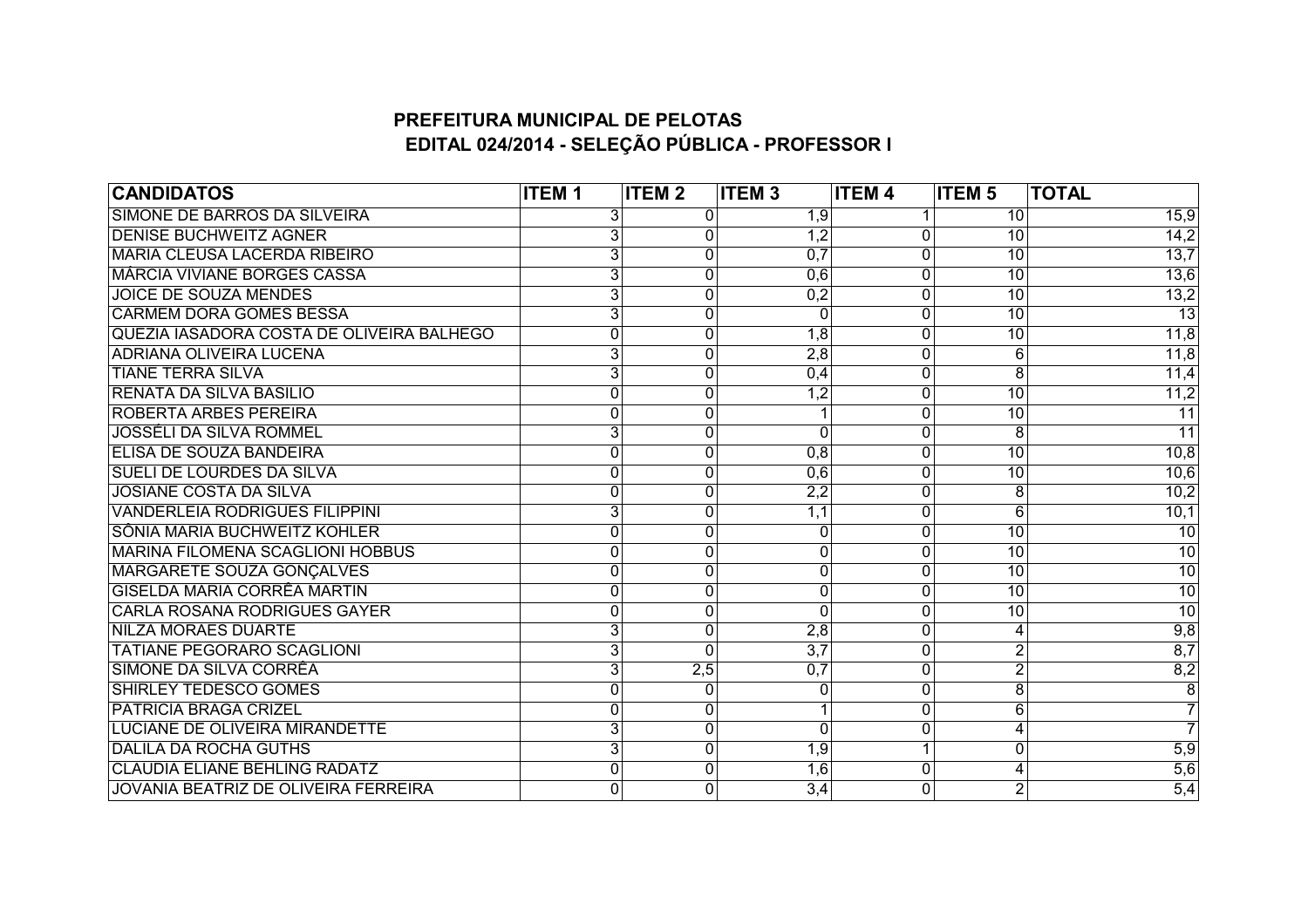## **PREFEITURA MUNICIPAL DE PELOTAS EDITAL 024/2014 - SELEÇÃO PÚBLICA - PROFESSOR I**

| <b>CANDIDATOS</b>                           | <b>ITEM1</b>   | <b>ITEM2</b>     | <b>ITEM3</b>     | <b>ITEM4</b>   | <b>ITEM 5</b>   | <b>TOTAL</b>      |
|---------------------------------------------|----------------|------------------|------------------|----------------|-----------------|-------------------|
| SIMONE DE BARROS DA SILVEIRA                | 3              | 0                | 1,9              |                | 10              | 15,9              |
| <b>DENISE BUCHWEITZ AGNER</b>               | 3              | 0                | $\overline{1,2}$ | $\Omega$       | 10              | $\overline{14,2}$ |
| <b>MARIA CLEUSA LACERDA RIBEIRO</b>         | 3              | $\boldsymbol{0}$ | 0,7              | 0              | 10              | 13,7              |
| <b>MÁRCIA VIVIANE BORGES CASSA</b>          | 3              | 0                | 0,6              | 0              | 10              | 13,6              |
| <b>JOICE DE SOUZA MENDES</b>                | 3              | $\overline{0}$   | 0,2              | 0              | 10              | 13,2              |
| <b>CARMEM DORA GOMES BESSA</b>              | 3              | 0                | 0                | 0              | 10              | 13                |
| QUEZIA IASADORA COSTA DE OLIVEIRA BALHEGO   | $\mathbf{0}$   | 0                | $\overline{1,8}$ | $\Omega$       | 10              | 11,8              |
| <b>ADRIANA OLIVEIRA LUCENA</b>              | $\overline{3}$ | 0                | 2,8              | 0              | 6               | 11,8              |
| <b>TIANE TERRA SILVA</b>                    | $\overline{3}$ | 0                | 0,4              | $\Omega$       | 8               | 11,4              |
| <b>RENATA DA SILVA BASILIO</b>              | $\mathbf 0$    | $\mathbf 0$      | $\overline{1,2}$ | 0              | $\overline{10}$ | 11,2              |
| <b>ROBERTA ARBES PEREIRA</b>                | 0              | 0                |                  | 0              | $\overline{10}$ | $\overline{11}$   |
| <b>JOSSÉLI DA SILVA ROMMEL</b>              | $\overline{3}$ | 0                | $\Omega$         | 0              | 8               | $\overline{11}$   |
| ELISA DE SOUZA BANDEIRA                     | 0              | 0                | 0,8              | $\Omega$       | $\overline{10}$ | 10,8              |
| <b>SUELI DE LOURDES DA SILVA</b>            | 0              | 0                | 0,6              | $\Omega$       | $\overline{10}$ | 10,6              |
| <b>JOSIANE COSTA DA SILVA</b>               | $\mathbf 0$    | $\overline{0}$   | $\overline{2,2}$ | 0              | 8               | 10,2              |
| <b>VANDERLEIA RODRIGUES FILIPPINI</b>       | $\overline{3}$ | 0                | 1,1              | $\overline{0}$ | $\overline{6}$  | 10,1              |
| SÔNIA MARIA BUCHWEITZ KOHLER                | $\mathbf{0}$   | 0                | 0                | 0              | $\overline{10}$ | $\overline{10}$   |
| <b>MARINA FILOMENA SCAGLIONI HOBBUS</b>     | 0              | $\overline{0}$   | 0                | 0              | $\overline{10}$ | $\overline{10}$   |
| <b>MARGARETE SOUZA GONÇALVES</b>            | 0              | 0                | 0                | $\Omega$       | $\overline{10}$ | $\overline{10}$   |
| <b>GISELDA MARIA CORRÊA MARTIN</b>          | $\mathbf 0$    | $\mathbf{0}$     | 0                | 0              | $\overline{10}$ | $\overline{10}$   |
| <b>CARLA ROSANA RODRIGUES GAYER</b>         | 0              | 0                | 0                | 0              | 10              | $\overline{10}$   |
| <b>NILZA MORAES DUARTE</b>                  | $\overline{3}$ | $\overline{0}$   | 2,8              | 0              | 4               | 9,8               |
| <b>TATIANE PEGORARO SCAGLIONI</b>           | 3              | 0                | 3,7              | 0              | $\overline{2}$  | 8,7               |
| SIMONE DA SILVA CORRÊA                      | 3              | 2,5              | 0,7              | $\Omega$       |                 | 8,2               |
| <b>SHIRLEY TEDESCO GOMES</b>                | $\mathbf{0}$   | 0                | 0                | 0              | $\overline{8}$  | $\overline{8}$    |
| <b>PATRICIA BRAGA CRIZEL</b>                | 0              | 0                |                  | 0              | 6               |                   |
| <b>LUCIANE DE OLIVEIRA MIRANDETTE</b>       | $\overline{3}$ | 0                | 0                | 0              | 4               | $\overline{7}$    |
| <b>DALILA DA ROCHA GUTHS</b>                | $\overline{3}$ | 0                | $\overline{1,9}$ |                | $\overline{0}$  | 5,9               |
| <b>CLAUDIA ELIANE BEHLING RADATZ</b>        | $\Omega$       | 0                | $\overline{1,6}$ | $\Omega$       | 4               | $\overline{5,6}$  |
| <b>JOVANIA BEATRIZ DE OLIVEIRA FERREIRA</b> | $\mathbf{0}$   | $\Omega$         | 3,4              | 0              | $\overline{2}$  | $\overline{5,4}$  |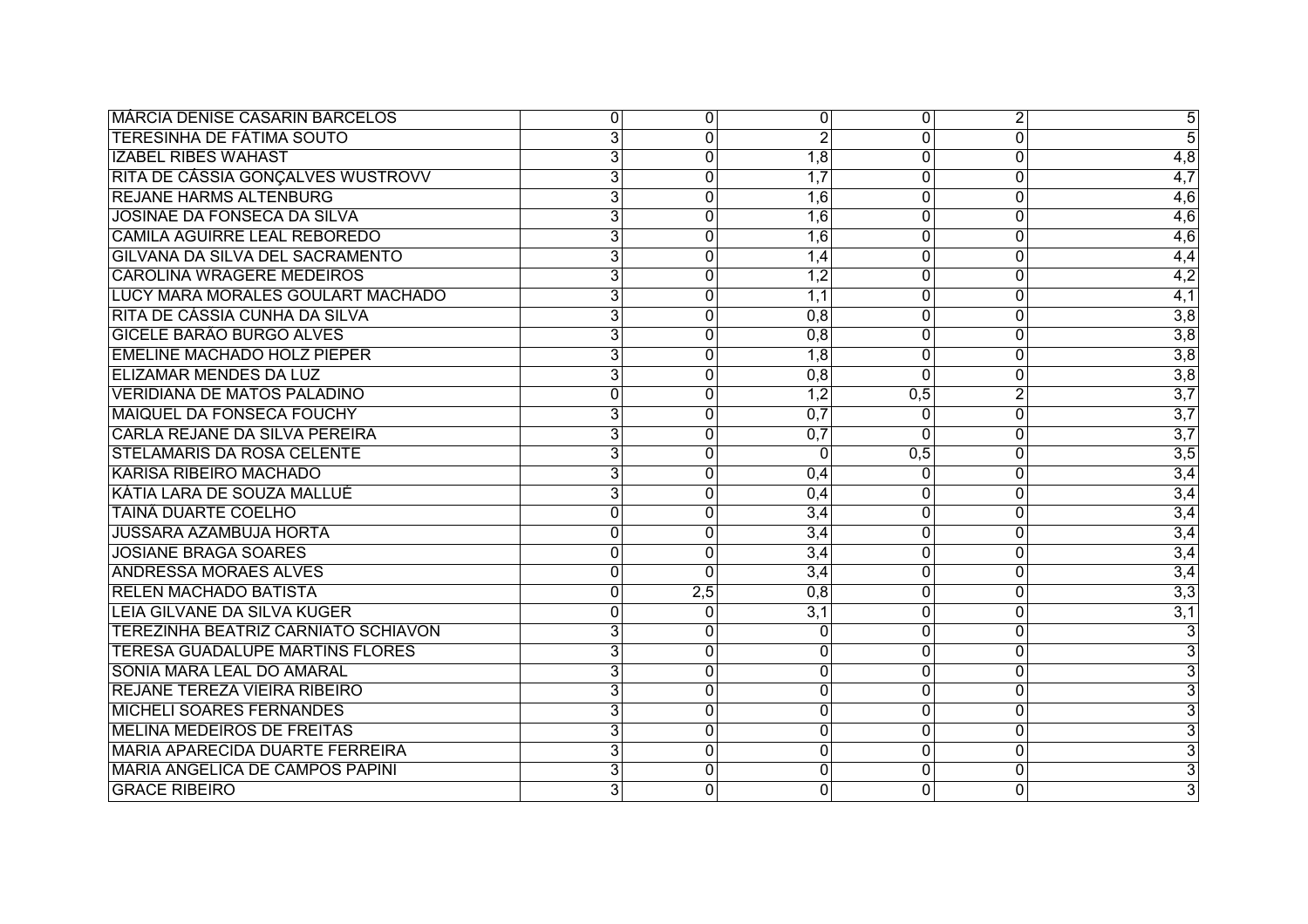| <b>MÁRCIA DENISE CASARIN BARCELOS</b>      | 0              | 0              | 0                | $\overline{0}$ | $\overline{2}$ | $\overline{5}$            |
|--------------------------------------------|----------------|----------------|------------------|----------------|----------------|---------------------------|
| <b>TERESINHA DE FÁTIMA SOUTO</b>           | $\overline{3}$ | $\Omega$       | $\overline{2}$   | $\Omega$       | 0              | $\overline{5}$            |
| <b>IZABEL RIBES WAHAST</b>                 | $\overline{3}$ | 0              | 1,8              | $\Omega$       | 0              | $\overline{4,8}$          |
| RITA DE CÁSSIA GONÇALVES WUSTROVV          | $\overline{3}$ | $\Omega$       | 1,7              | $\Omega$       | $\Omega$       | $\overline{4,7}$          |
| <b>REJANE HARMS ALTENBURG</b>              | $\overline{3}$ | 0              | $\overline{1,6}$ | $\Omega$       | 0              | $\overline{4,6}$          |
| <b>JOSINAE DA FONSECA DA SILVA</b>         | $\overline{3}$ | 0              | 1,6              | $\overline{0}$ | 0              | 4,6                       |
| <b>CAMILA AGUIRRE LEAL REBOREDO</b>        | 3              | 0              | $\overline{1,6}$ | 0              | 0              | 4,6                       |
| GILVANA DA SILVA DEL SACRAMENTO            | 3              | 0              | 1,4              | $\overline{0}$ | $\overline{0}$ | 4,4                       |
| <b>CAROLINA WRAGERE MEDEIROS</b>           | $\overline{3}$ | 0              | $\overline{1,2}$ | $\overline{0}$ | 0              | 4,2                       |
| LUCY MARA MORALES GOULART MACHADO          | 3              | $\Omega$       | 1,1              | $\Omega$       | 0              | 4,1                       |
| RITA DE CÁSSIA CUNHA DA SILVA              | $\overline{3}$ | 0              | 0,8              | $\overline{0}$ | 0              | $\overline{3,8}$          |
| <b>GICELE BARÃO BURGO ALVES</b>            | $\overline{3}$ | 0              | 0,8              | $\Omega$       | 0              | $\overline{3,8}$          |
| <b>EMELINE MACHADO HOLZ PIEPER</b>         | $\overline{3}$ | $\Omega$       | $\overline{1,8}$ | $\Omega$       | 0              | $\overline{3,8}$          |
| <b>ELIZAMAR MENDES DA LUZ</b>              | $\overline{3}$ | 0              | 0,8              | $\Omega$       | 0              | $\overline{3,8}$          |
| <b>VERIDIANA DE MATOS PALADINO</b>         | 0              | 0              | $\overline{1,2}$ | 0,5            | $\overline{2}$ | $\overline{3,7}$          |
| <b>MAIQUEL DA FONSECA FOUCHY</b>           | $\overline{3}$ | 0              | 0,7              | $\Omega$       | $\overline{0}$ | $\overline{3,7}$          |
| <b>CARLA REJANE DA SILVA PEREIRA</b>       | $\overline{3}$ | $\Omega$       | 0,7              | <sup>0</sup>   | 0              | $\overline{3,7}$          |
| <b>STELAMARIS DA ROSA CELENTE</b>          | $\overline{3}$ | 0              | $\Omega$         | 0,5            | 0              | $\overline{3,5}$          |
| <b>KARISA RIBEIRO MACHADO</b>              | $\overline{3}$ | 0              | 0,4              | $\Omega$       | 0              | $\overline{3,4}$          |
| KÁTIA LARA DE SOUZA MALLUÉ                 | $\overline{3}$ | $\Omega$       | 0,4              | $\overline{0}$ | 0              | 3,4                       |
| <b>TAINÃ DUARTE COELHO</b>                 | 0              | $\overline{0}$ | 3,4              | 0              | $\overline{0}$ | 3,4                       |
| <b>JUSSARA AZAMBUJA HORTA</b>              | 0              | $\overline{0}$ | 3,4              | $\overline{0}$ | $\overline{0}$ | 3,4                       |
| <b>JOSIANE BRAGA SOARES</b>                | 0              | 0              | 3,4              | 0              | 0              | 3,4                       |
| <b>ANDRESSA MORAES ALVES</b>               | 0              | $\Omega$       | 3,4              | 0              | 0              | 3,4                       |
| <b>RELEN MACHADO BATISTA</b>               | 0              | 2,5            | 0,8              | $\overline{0}$ | 0              | $\overline{3,3}$          |
| LEIA GILVANE DA SILVA KUGER                | $\Omega$       | $\Omega$       | 3,1              | $\Omega$       | 0              | 3,1                       |
| <b>TEREZINHA BEATRIZ CARNIATO SCHIAVON</b> | $\overline{3}$ | $\Omega$       | $\Omega$         | $\Omega$       | 0              | 3                         |
| <b>TERESA GUADALUPE MARTINS FLORES</b>     | $\overline{3}$ | 0              | 0                | 0              | 0              | $\overline{3}$            |
| SONIA MARA LEAL DO AMARAL                  | 3              | 0              | 0                | 0              | 0              | 3                         |
| <b>REJANE TEREZA VIEIRA RIBEIRO</b>        | $\overline{3}$ | $\overline{0}$ | $\overline{0}$   | $\overline{0}$ | 0              | $\overline{\mathbf{3}}$   |
| <b>MICHELI SOARES FERNANDES</b>            | $\overline{3}$ | 0              | 0                | 0              | 0              | $\overline{\overline{3}}$ |
| <b>MELINA MEDEIROS DE FREITAS</b>          | $\overline{3}$ | 0              | $\Omega$         | $\Omega$       | 0              | $\overline{\mathbf{3}}$   |
| <b>MARIA APARECIDA DUARTE FERREIRA</b>     | 3              | $\Omega$       | $\Omega$         | $\Omega$       | 0              | $\overline{3}$            |
| <b>MARIA ANGELICA DE CAMPOS PAPINI</b>     | $\overline{3}$ | $\Omega$       | $\Omega$         | $\overline{0}$ | $\overline{0}$ | $\overline{3}$            |
| <b>GRACE RIBEIRO</b>                       | $\overline{3}$ | $\Omega$       | 0                | $\Omega$       | $\Omega$       | $\overline{\mathbf{3}}$   |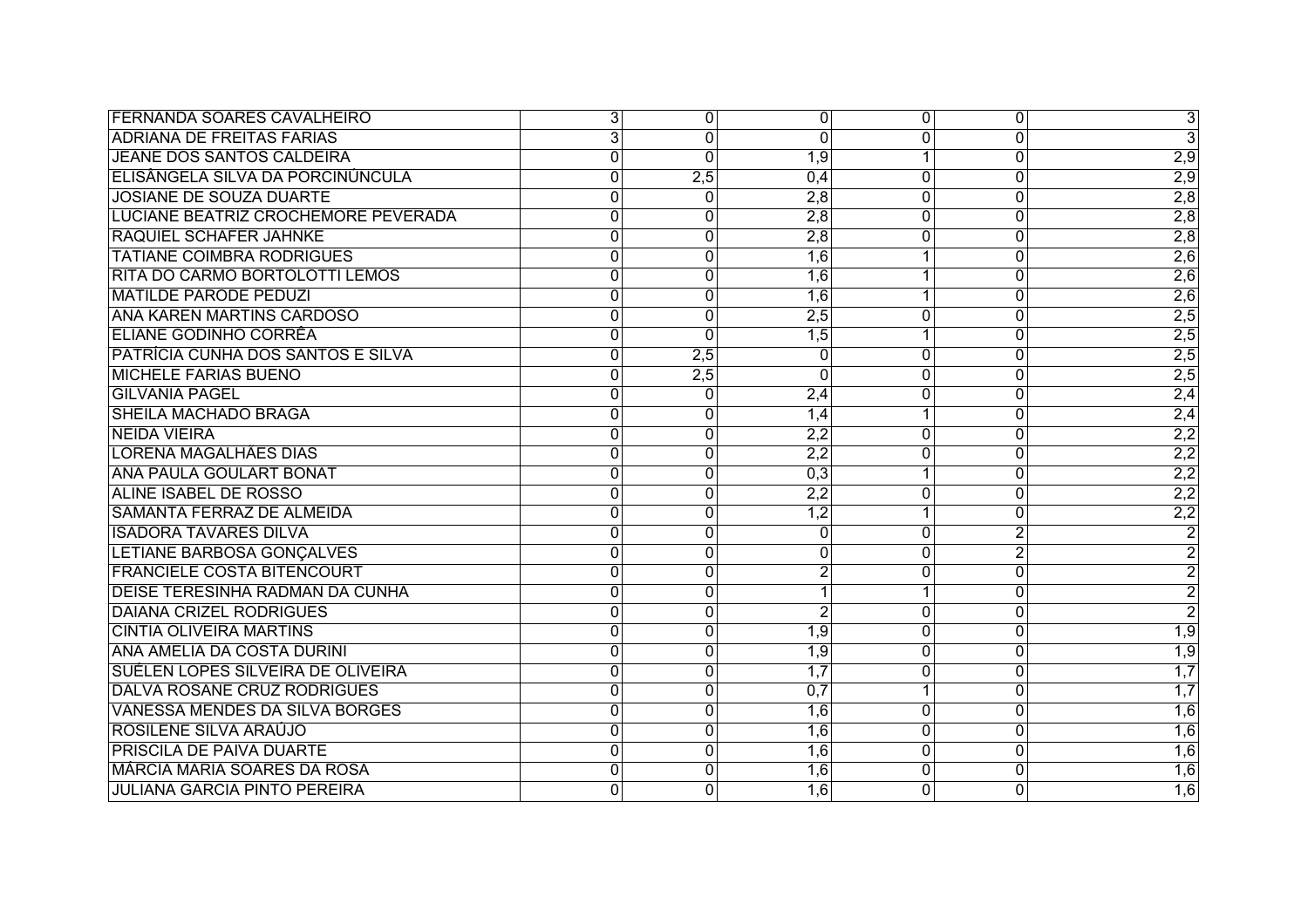| <b>FERNANDA SOARES CAVALHEIRO</b>      | $\overline{3}$ | $\mathbf 0$    | 0                | 0                         | 0              | $\overline{3}$   |
|----------------------------------------|----------------|----------------|------------------|---------------------------|----------------|------------------|
| <b>ADRIANA DE FREITAS FARIAS</b>       | $\overline{3}$ | $\overline{0}$ | 0                | 0                         | 0              | $\overline{3}$   |
| <b>JEANE DOS SANTOS CALDEIRA</b>       | 0              | $\Omega$       | 1,9              | 1                         | 0              | $\overline{2,9}$ |
| ELISÂNGELA SILVA DA PORCINÚNCULA       | $\mathbf{0}$   | 2,5            | 0,4              | $\Omega$                  | 0              | $\overline{2,9}$ |
| JOSIANE DE SOUZA DUARTE                | $\mathbf 0$    | $\Omega$       | 2,8              | $\Omega$                  | 0              | $\overline{2,8}$ |
| LUCIANE BEATRIZ CROCHEMORE PEVERADA    | 0              | 0              | 2,8              | $\Omega$                  | $\overline{0}$ | 2,8              |
| <b>RAQUIEL SCHAFER JAHNKE</b>          | $\mathbf{0}$   | $\mathbf{0}$   | 2,8              | 0                         | 0              | 2,8              |
| <b>TATIANE COIMBRA RODRIGUES</b>       | 0              | 0              | 1,6              |                           | 0              | 2,6              |
| <b>RITA DO CARMO BORTOLOTTI LEMOS</b>  | 0              | 0              | 1,6              | 1                         | 0              | $\overline{2,6}$ |
| <b>MATILDE PARODE PEDUZI</b>           | 0              | $\mathbf{0}$   | $\overline{1,6}$ | 1                         | 0              | 2,6              |
| <b>ANA KAREN MARTINS CARDOSO</b>       | 0              | $\mathbf{0}$   | 2,5              | $\Omega$                  | 0              | $\overline{2,5}$ |
| <b>ELIANE GODINHO CORRÊA</b>           | $\overline{0}$ | $\Omega$       | 1,5              | 1                         | $\overline{0}$ | $\overline{2,5}$ |
| PATRÍCIA CUNHA DOS SANTOS E SILVA      | $\mathbf 0$    | 2,5            | 0                | 0                         | 0              | $\overline{2,5}$ |
| <b>MICHELE FARIAS BUENO</b>            | $\mathbf{0}$   | 2,5            | 0                | 0                         | 0              | $\overline{2,5}$ |
| <b>GILVANIA PAGEL</b>                  | 0              | $\overline{0}$ | 2,4              | $\overline{0}$            | $\overline{0}$ | $\overline{2,4}$ |
| <b>SHEILA MACHADO BRAGA</b>            | 0              | 0              | 1,4              |                           | 0              | $\overline{2,4}$ |
| <b>NEIDA VIEIRA</b>                    | 0              | 0              | 2,2              | 0                         | 0              | $\overline{2,2}$ |
| <b>LORENA MAGALHÃES DIAS</b>           | $\mathbf{0}$   | 0              | $\overline{2,2}$ | $\Omega$                  | 0              | $\overline{2,2}$ |
| <b>ANA PAULA GOULART BONAT</b>         | 0              | 0              | 0,3              | 1                         | 0              | $\overline{2,2}$ |
| <b>ALINE ISABEL DE ROSSO</b>           | $\overline{0}$ | $\overline{0}$ | $\overline{2,2}$ | $\overline{0}$            | $\overline{0}$ | 2,2              |
| <b>SAMANTA FERRAZ DE ALMEIDA</b>       | $\mathbf 0$    | $\mathbf 0$    | $\overline{1,2}$ |                           | $\overline{0}$ | $\overline{2,2}$ |
| <b>ISADORA TAVARES DILVA</b>           | 0              | 0              | $\overline{0}$   | $\overline{\mathfrak{o}}$ | $\overline{2}$ | $\overline{2}$   |
| <b>LETIANE BARBOSA GONÇALVES</b>       | 0              | 0              | 0                | 0                         | $\overline{2}$ | $\overline{2}$   |
| <b>FRANCIELE COSTA BITENCOURT</b>      | $\overline{0}$ | $\mathbf 0$    | $\overline{2}$   | $\overline{0}$            | $\overline{0}$ | $\overline{c}$   |
| <b>DEISE TERESINHA RADMAN DA CUNHA</b> | 0              | 0              | 1                | 1                         | 0              | $\overline{2}$   |
| <b>DAIANA CRIZEL RODRIGUES</b>         | 0              | $\mathbf{0}$   | $\overline{2}$   | $\Omega$                  | 0              | $\overline{2}$   |
| <b>CINTIA OLIVEIRA MARTINS</b>         | $\mathbf 0$    | 0              | 1,9              | 0                         | $\overline{0}$ | $\overline{1,9}$ |
| ANA AMELIA DA COSTA DURINI             | $\overline{0}$ | $\overline{0}$ | 1,9              | 0                         | $\overline{0}$ | $\overline{1,9}$ |
| SUÉLEN LOPES SILVEIRA DE OLIVEIRA      | 0              | 0              | 1,7              | $\overline{0}$            | 0              | 1,7              |
| DALVA ROSANE CRUZ RODRIGUES            | $\overline{0}$ | 0              | 0,7              |                           | $\overline{0}$ | 1,7              |
| <b>VANESSA MENDES DA SILVA BORGES</b>  | 0              | 0              | $\overline{1,6}$ | $\overline{0}$            | 0              | $\overline{1,6}$ |
| ROSILENE SILVA ARAÚJO                  | 0              | 0              | $\overline{1,6}$ | $\Omega$                  | 0              | 1,6              |
| <b>PRISCILA DE PAIVA DUARTE</b>        | $\mathbf 0$    | 0              | $\overline{1,6}$ | $\Omega$                  | 0              | $\overline{1,6}$ |
| <b>MÁRCIA MARIA SOARES DA ROSA</b>     | $\mathbf 0$    | 0              | $\overline{1,6}$ | $\Omega$                  | 0              | $\overline{1,6}$ |
| <b>JULIANA GARCIA PINTO PEREIRA</b>    | $\Omega$       | $\Omega$       | 1,6              | 0                         | $\Omega$       | $\overline{1,6}$ |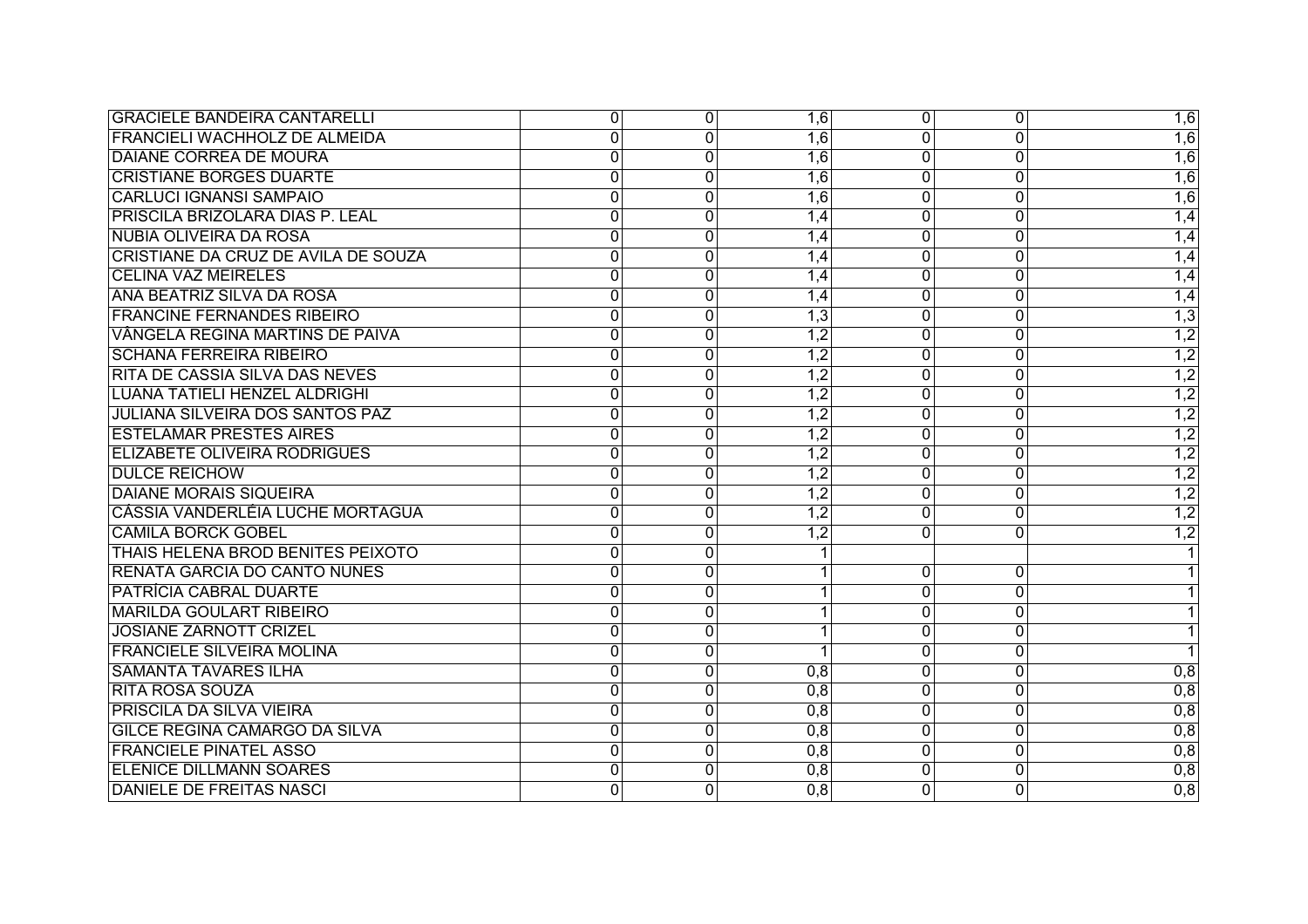| <b>GRACIELE BANDEIRA CANTARELLI</b>    | $\overline{0}$ | $\overline{0}$ | 1,6              | 0              | 0              | 1,6              |
|----------------------------------------|----------------|----------------|------------------|----------------|----------------|------------------|
| <b>FRANCIELI WACHHOLZ DE ALMEIDA</b>   | $\mathbf 0$    | $\Omega$       | 1,6              | 0              | $\overline{0}$ | $\overline{1,6}$ |
| <b>DAIANE CORREA DE MOURA</b>          | $\mathbf 0$    | $\mathbf 0$    | 1,6              | 0              | 0              | $\overline{1,6}$ |
| <b>CRISTIANE BORGES DUARTE</b>         | $\mathbf{0}$   | $\mathbf{0}$   | $\overline{1,6}$ | 0              | 0              | $\overline{1,6}$ |
| <b>CARLUCI IGNANSI SAMPAIO</b>         | $\Omega$       | $\Omega$       | $\overline{1,6}$ | 0              | 0              | 1,6              |
| PRISCILA BRIZOLARA DIAS P. LEAL        | $\Omega$       | $\overline{0}$ | 1,4              | $\overline{0}$ | $\overline{0}$ | 1,4              |
| <b>NUBIA OLIVEIRA DA ROSA</b>          | $\mathbf{0}$   | $\overline{0}$ | 1,4              | $\overline{0}$ | $\overline{0}$ | 1,4              |
| CRISTIANE DA CRUZ DE AVILA DE SOUZA    | 0              | 0              | 1,4              | 0              | 0              | 1,4              |
| <b>CELINA VAZ MEIRELES</b>             | $\overline{0}$ | $\overline{0}$ | 1,4              | $\overline{0}$ | $\overline{0}$ | 1,4              |
| ANA BEATRIZ SILVA DA ROSA              | 0              | $\mathbf 0$    | 1,4              | 0              | 0              | 1,4              |
| <b>FRANCINE FERNANDES RIBEIRO</b>      | $\overline{0}$ | 0              | 1,3              | 0              | 0              | 1,3              |
| VÂNGELA REGINA MARTINS DE PAIVA        | $\mathbf{0}$   | 0              | $\overline{1,2}$ | 0              | $\mathbf 0$    | $\overline{1,2}$ |
| <b>SCHANA FERREIRA RIBEIRO</b>         | $\overline{0}$ | $\mathbf 0$    | $\overline{1,2}$ | $\overline{0}$ | $\overline{0}$ | $\overline{1,2}$ |
| <b>RITA DE CASSIA SILVA DAS NEVES</b>  | $\mathbf 0$    | $\mathbf 0$    | $\overline{1,2}$ | 0              | $\overline{0}$ | $\overline{1,2}$ |
| <b>LUANA TATIELI HENZEL ALDRIGHI</b>   | $\mathbf 0$    | 0              | $\overline{1,2}$ | $\overline{0}$ | $\overline{0}$ | $\overline{1,2}$ |
| <b>JULIANA SILVEIRA DOS SANTOS PAZ</b> | 0              | 0              | 1,2              | 0              | 0              | $\overline{1,2}$ |
| <b>ESTELAMAR PRESTES AIRES</b>         | $\mathbf 0$    | $\mathbf 0$    | $\overline{1,2}$ | 0              | $\overline{0}$ | $\overline{1,2}$ |
| <b>ELIZABETE OLIVEIRA RODRIGUES</b>    | $\mathbf{0}$   | $\mathbf 0$    | $\overline{1,2}$ | 0              | 0              | $\overline{1,2}$ |
| <b>DULCE REICHOW</b>                   | $\mathbf{0}$   | $\mathbf 0$    | $\overline{1,2}$ | 0              | 0              | $\overline{1,2}$ |
| <b>DAIANE MORAIS SIQUEIRA</b>          | $\Omega$       | $\Omega$       | $\overline{1,2}$ | 0              | 0              | $\overline{1,2}$ |
| CÁSSIA VANDERLÉIA LUCHE MORTAGUA       | $\mathbf 0$    | $\mathbf 0$    | $\overline{1,2}$ | $\overline{0}$ | 0              | $\overline{1,2}$ |
| <b>CAMILA BORCK GOBEL</b>              | $\overline{0}$ | $\overline{0}$ | $\overline{1,2}$ | $\overline{0}$ | $\overline{0}$ | $\overline{1,2}$ |
| THAIS HELENA BROD BENITES PEIXOTO      | $\overline{0}$ | $\mathbf 0$    |                  |                |                |                  |
| <b>RENATA GARCIA DO CANTO NUNES</b>    | $\overline{0}$ | $\mathbf 0$    | 1 <sup>1</sup>   | 0              | 0              |                  |
| PATRÍCIA CABRAL DUARTE                 | $\overline{0}$ | $\overline{0}$ | 1 <sup>1</sup>   | 0              | $\Omega$       |                  |
| <b>MARILDA GOULART RIBEIRO</b>         | $\overline{0}$ | $\mathbf 0$    | 1                | 0              | 0              | 1                |
| <b>JOSIANE ZARNOTT CRIZEL</b>          | $\mathbf 0$    | $\mathbf 0$    | 1                | $\overline{0}$ | $\overline{0}$ | 1                |
| <b>FRANCIELE SILVEIRA MOLINA</b>       | $\Omega$       | $\Omega$       | 1                | 0              | $\overline{0}$ |                  |
| <b>SAMANTA TAVARES ILHA</b>            | $\mathbf 0$    | $\overline{0}$ | 0,8              | $\overline{0}$ | $\overline{0}$ | 0,8              |
| <b>RITA ROSA SOUZA</b>                 | $\overline{0}$ | $\overline{0}$ | 0,8              | $\overline{0}$ | $\overline{0}$ | $\overline{0,8}$ |
| <b>PRISCILA DA SILVA VIEIRA</b>        | $\overline{0}$ | $\overline{0}$ | 0,8              | $\overline{0}$ | $\overline{0}$ | 0,8              |
| <b>GILCE REGINA CAMARGO DA SILVA</b>   | $\mathbf 0$    | $\mathbf 0$    | 0,8              | $\Omega$       | $\Omega$       | 0,8              |
| <b>FRANCIELE PINATEL ASSO</b>          | $\Omega$       | $\mathbf 0$    | 0,8              | $\overline{0}$ | $\overline{0}$ | 0,8              |
| <b>ELENICE DILLMANN SOARES</b>         | $\Omega$       | $\mathbf 0$    | 0,8              | 0              | $\overline{0}$ | 0,8              |
| <b>DANIELE DE FREITAS NASCI</b>        | $\mathbf{0}$   | $\Omega$       | 0,8              | $\overline{0}$ | $\overline{0}$ | $\overline{0,8}$ |